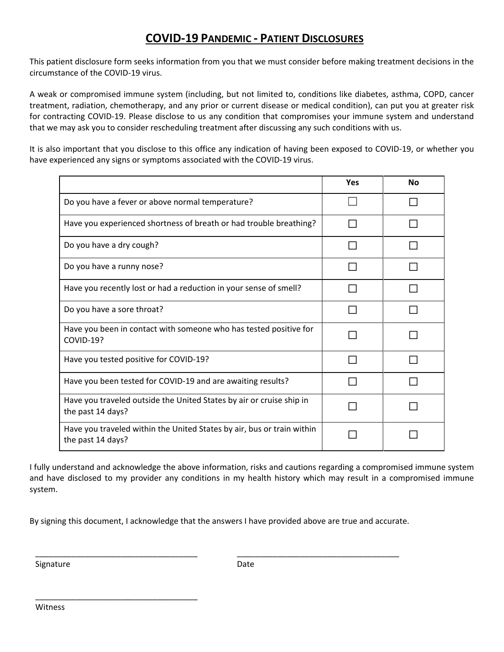## **COVIDͲ19 PANDEMIC Ͳ PATIENT DISCLOSURES**

This patient disclosure form seeks information from you that we must consider before making treatment decisions in the circumstance of the COVID-19 virus.

A weak or compromised immune system (including, but not limited to, conditions like diabetes, asthma, COPD, cancer treatment, radiation, chemotherapy, and any prior or current disease or medical condition), can put you at greater risk for contracting COVID-19. Please disclose to us any condition that compromises your immune system and understand that we may ask you to consider rescheduling treatment after discussing any such conditions with us.

It is also important that you disclose to this office any indication of having been exposed to COVID-19, or whether you have experienced any signs or symptoms associated with the COVID-19 virus.

|                                                                                             | <b>Yes</b> | <b>No</b> |
|---------------------------------------------------------------------------------------------|------------|-----------|
| Do you have a fever or above normal temperature?                                            |            |           |
| Have you experienced shortness of breath or had trouble breathing?                          |            |           |
| Do you have a dry cough?                                                                    |            |           |
| Do you have a runny nose?                                                                   |            |           |
| Have you recently lost or had a reduction in your sense of smell?                           |            |           |
| Do you have a sore throat?                                                                  |            |           |
| Have you been in contact with someone who has tested positive for<br>COVID-19?              |            |           |
| Have you tested positive for COVID-19?                                                      |            |           |
| Have you been tested for COVID-19 and are awaiting results?                                 |            |           |
| Have you traveled outside the United States by air or cruise ship in<br>the past 14 days?   |            |           |
| Have you traveled within the United States by air, bus or train within<br>the past 14 days? |            |           |

I fully understand and acknowledge the above information, risks and cautions regarding a compromised immune system and have disclosed to my provider any conditions in my health history which may result in a compromised immune system.

By signing this document, I acknowledge that the answers I have provided above are true and accurate.

\_\_\_\_\_\_\_\_\_\_\_\_\_\_\_\_\_\_\_\_\_\_\_\_\_\_\_\_\_\_\_\_\_\_\_\_ \_\_\_\_\_\_\_\_\_\_\_\_\_\_\_\_\_\_\_\_\_\_\_\_\_\_\_\_\_\_\_\_\_\_\_\_

Signature **Date** 

\_\_\_\_\_\_\_\_\_\_\_\_\_\_\_\_\_\_\_\_\_\_\_\_\_\_\_\_\_\_\_\_\_\_\_\_